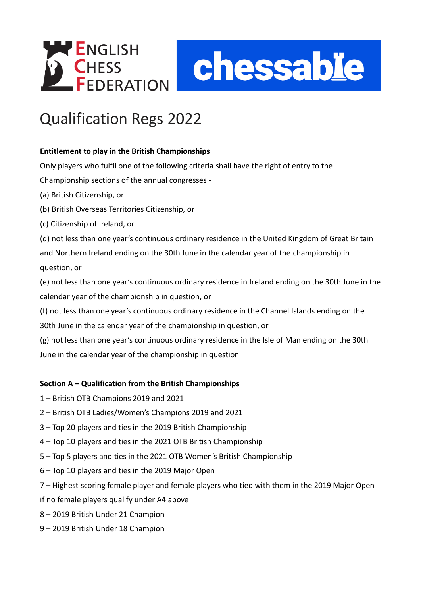



# Qualification Regs 2022

# **Entitlement to play in the British Championships**

Only players who fulfil one of the following criteria shall have the right of entry to the

Championship sections of the annual congresses -

- (a) British Citizenship, or
- (b) British Overseas Territories Citizenship, or
- (c) Citizenship of Ireland, or

(d) not less than one year's continuous ordinary residence in the United Kingdom of Great Britain and Northern Ireland ending on the 30th June in the calendar year of the championship in question, or

(e) not less than one year's continuous ordinary residence in Ireland ending on the 30th June in the calendar year of the championship in question, or

(f) not less than one year's continuous ordinary residence in the Channel Islands ending on the 30th June in the calendar year of the championship in question, or

(g) not less than one year's continuous ordinary residence in the Isle of Man ending on the 30th June in the calendar year of the championship in question

# **Section A – Qualification from the British Championships**

- 1 British OTB Champions 2019 and 2021
- 2 British OTB Ladies/Women's Champions 2019 and 2021
- 3 Top 20 players and ties in the 2019 British Championship
- 4 Top 10 players and ties in the 2021 OTB British Championship
- 5 Top 5 players and ties in the 2021 OTB Women's British Championship
- 6 Top 10 players and ties in the 2019 Major Open
- 7 Highest-scoring female player and female players who tied with them in the 2019 Major Open

if no female players qualify under A4 above

- 8 2019 British Under 21 Champion
- 9 2019 British Under 18 Champion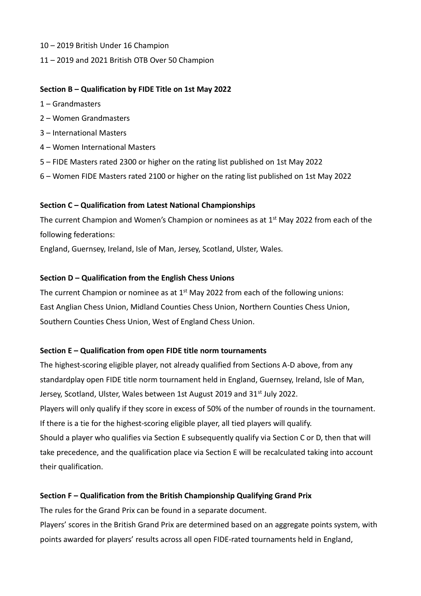- 10 2019 British Under 16 Champion
- 11 2019 and 2021 British OTB Over 50 Champion

#### **Section B – Qualification by FIDE Title on 1st May 2022**

- 1 Grandmasters
- 2 Women Grandmasters
- 3 International Masters
- 4 Women International Masters
- 5 FIDE Masters rated 2300 or higher on the rating list published on 1st May 2022
- 6 Women FIDE Masters rated 2100 or higher on the rating list published on 1st May 2022

#### **Section C – Qualification from Latest National Championships**

The current Champion and Women's Champion or nominees as at  $1<sup>st</sup>$  May 2022 from each of the following federations:

England, Guernsey, Ireland, Isle of Man, Jersey, Scotland, Ulster, Wales.

#### **Section D – Qualification from the English Chess Unions**

The current Champion or nominee as at  $1<sup>st</sup>$  May 2022 from each of the following unions: East Anglian Chess Union, Midland Counties Chess Union, Northern Counties Chess Union, Southern Counties Chess Union, West of England Chess Union.

#### **Section E – Qualification from open FIDE title norm tournaments**

The highest-scoring eligible player, not already qualified from Sections A-D above, from any standardplay open FIDE title norm tournament held in England, Guernsey, Ireland, Isle of Man, Jersey, Scotland, Ulster, Wales between 1st August 2019 and 31<sup>st</sup> July 2022. Players will only qualify if they score in excess of 50% of the number of rounds in the tournament. If there is a tie for the highest-scoring eligible player, all tied players will qualify. Should a player who qualifies via Section E subsequently qualify via Section C or D, then that will take precedence, and the qualification place via Section E will be recalculated taking into account their qualification.

#### **Section F – Qualification from the British Championship Qualifying Grand Prix**

The rules for the Grand Prix can be found in a separate document.

Players' scores in the British Grand Prix are determined based on an aggregate points system, with points awarded for players' results across all open FIDE-rated tournaments held in England,